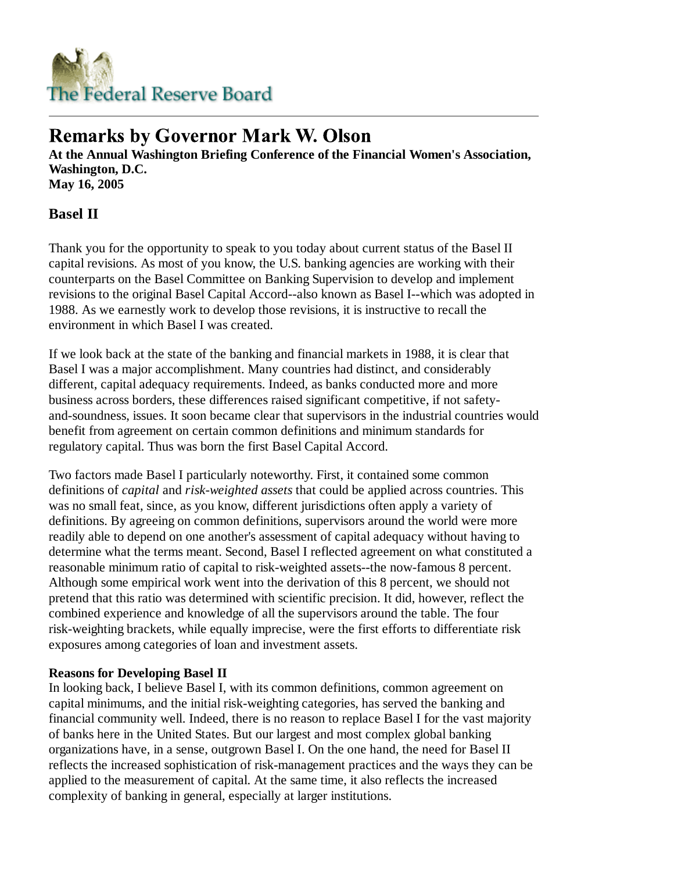

# **Remarks by Governor Mark W. Olson**

**At the Annual Washington Briefing Conference of the Financial Women's Association, Washington, D.C. May 16, 2005**

## **Basel II**

Thank you for the opportunity to speak to you today about current status of the Basel II capital revisions. As most of you know, the U.S. banking agencies are working with their counterparts on the Basel Committee on Banking Supervision to develop and implement revisions to the original Basel Capital Accord--also known as Basel I--which was adopted in 1988. As we earnestly work to develop those revisions, it is instructive to recall the environment in which Basel I was created.

If we look back at the state of the banking and financial markets in 1988, it is clear that Basel I was a major accomplishment. Many countries had distinct, and considerably different, capital adequacy requirements. Indeed, as banks conducted more and more business across borders, these differences raised significant competitive, if not safetyand-soundness, issues. It soon became clear that supervisors in the industrial countries would benefit from agreement on certain common definitions and minimum standards for regulatory capital. Thus was born the first Basel Capital Accord.

Two factors made Basel I particularly noteworthy. First, it contained some common definitions of *capital* and *risk-weighted assets* that could be applied across countries. This was no small feat, since, as you know, different jurisdictions often apply a variety of definitions. By agreeing on common definitions, supervisors around the world were more readily able to depend on one another's assessment of capital adequacy without having to determine what the terms meant. Second, Basel I reflected agreement on what constituted a reasonable minimum ratio of capital to risk-weighted assets--the now-famous 8 percent. Although some empirical work went into the derivation of this 8 percent, we should not pretend that this ratio was determined with scientific precision. It did, however, reflect the combined experience and knowledge of all the supervisors around the table. The four risk-weighting brackets, while equally imprecise, were the first efforts to differentiate risk exposures among categories of loan and investment assets.

## **Reasons for Developing Basel II**

In looking back, I believe Basel I, with its common definitions, common agreement on capital minimums, and the initial risk-weighting categories, has served the banking and financial community well. Indeed, there is no reason to replace Basel I for the vast majority of banks here in the United States. But our largest and most complex global banking organizations have, in a sense, outgrown Basel I. On the one hand, the need for Basel II reflects the increased sophistication of risk-management practices and the ways they can be applied to the measurement of capital. At the same time, it also reflects the increased complexity of banking in general, especially at larger institutions.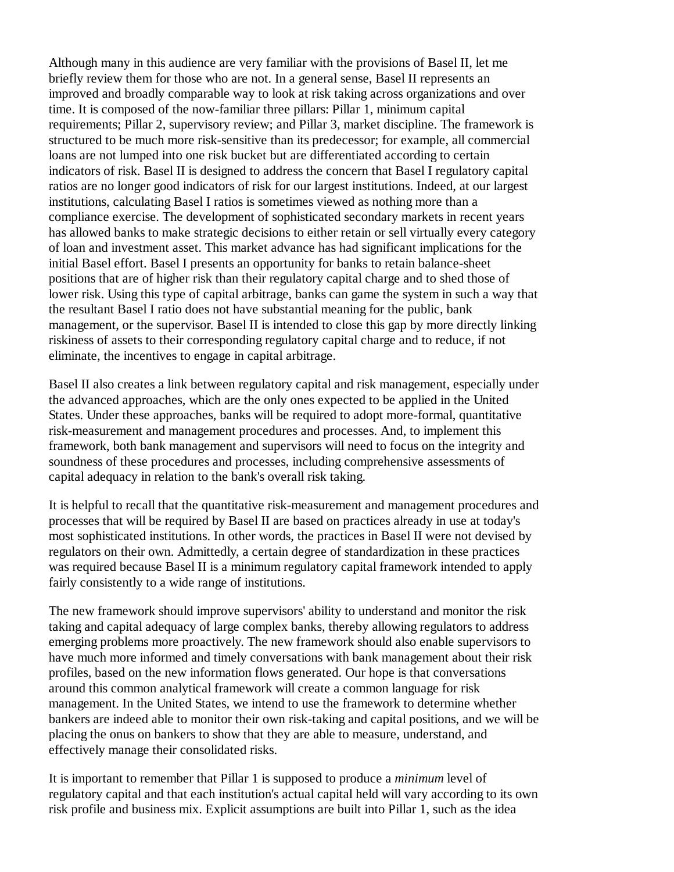Although many in this audience are very familiar with the provisions of Basel II, let me briefly review them for those who are not. In a general sense, Basel II represents an improved and broadly comparable way to look at risk taking across organizations and over time. It is composed of the now-familiar three pillars: Pillar 1, minimum capital requirements; Pillar 2, supervisory review; and Pillar 3, market discipline. The framework is structured to be much more risk-sensitive than its predecessor; for example, all commercial loans are not lumped into one risk bucket but are differentiated according to certain indicators of risk. Basel II is designed to address the concern that Basel I regulatory capital ratios are no longer good indicators of risk for our largest institutions. Indeed, at our largest institutions, calculating Basel I ratios is sometimes viewed as nothing more than a compliance exercise. The development of sophisticated secondary markets in recent years has allowed banks to make strategic decisions to either retain or sell virtually every category of loan and investment asset. This market advance has had significant implications for the initial Basel effort. Basel I presents an opportunity for banks to retain balance-sheet positions that are of higher risk than their regulatory capital charge and to shed those of lower risk. Using this type of capital arbitrage, banks can game the system in such a way that the resultant Basel I ratio does not have substantial meaning for the public, bank management, or the supervisor. Basel II is intended to close this gap by more directly linking riskiness of assets to their corresponding regulatory capital charge and to reduce, if not eliminate, the incentives to engage in capital arbitrage.

Basel II also creates a link between regulatory capital and risk management, especially under the advanced approaches, which are the only ones expected to be applied in the United States. Under these approaches, banks will be required to adopt more-formal, quantitative risk-measurement and management procedures and processes. And, to implement this framework, both bank management and supervisors will need to focus on the integrity and soundness of these procedures and processes, including comprehensive assessments of capital adequacy in relation to the bank's overall risk taking.

It is helpful to recall that the quantitative risk-measurement and management procedures and processes that will be required by Basel II are based on practices already in use at today's most sophisticated institutions. In other words, the practices in Basel II were not devised by regulators on their own. Admittedly, a certain degree of standardization in these practices was required because Basel II is a minimum regulatory capital framework intended to apply fairly consistently to a wide range of institutions.

The new framework should improve supervisors' ability to understand and monitor the risk taking and capital adequacy of large complex banks, thereby allowing regulators to address emerging problems more proactively. The new framework should also enable supervisors to have much more informed and timely conversations with bank management about their risk profiles, based on the new information flows generated. Our hope is that conversations around this common analytical framework will create a common language for risk management. In the United States, we intend to use the framework to determine whether bankers are indeed able to monitor their own risk-taking and capital positions, and we will be placing the onus on bankers to show that they are able to measure, understand, and effectively manage their consolidated risks.

It is important to remember that Pillar 1 is supposed to produce a *minimum* level of regulatory capital and that each institution's actual capital held will vary according to its own risk profile and business mix. Explicit assumptions are built into Pillar 1, such as the idea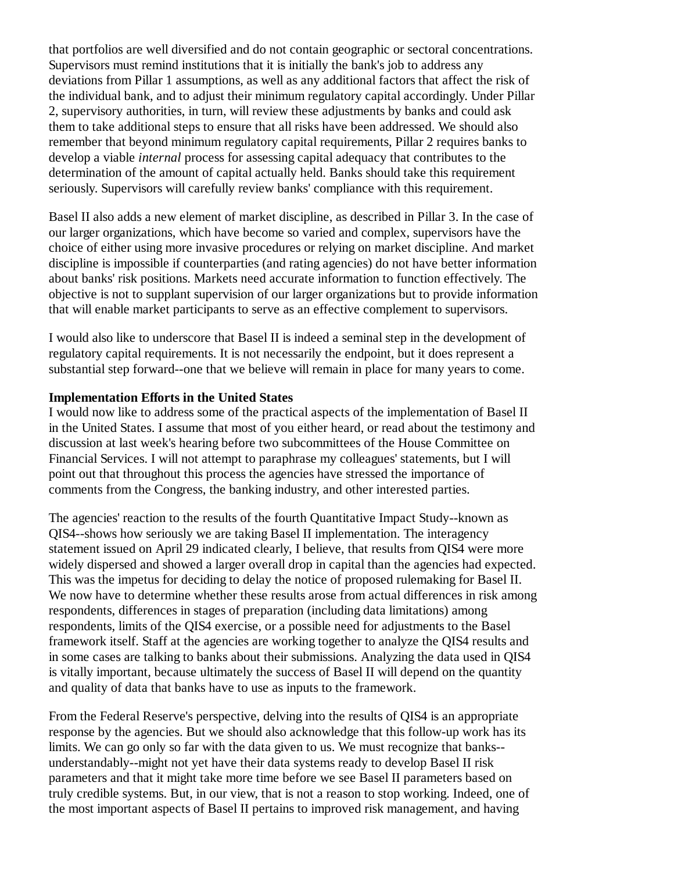that portfolios are well diversified and do not contain geographic or sectoral concentrations. Supervisors must remind institutions that it is initially the bank's job to address any deviations from Pillar 1 assumptions, as well as any additional factors that affect the risk of the individual bank, and to adjust their minimum regulatory capital accordingly. Under Pillar 2, supervisory authorities, in turn, will review these adjustments by banks and could ask them to take additional steps to ensure that all risks have been addressed. We should also remember that beyond minimum regulatory capital requirements, Pillar 2 requires banks to develop a viable *internal* process for assessing capital adequacy that contributes to the determination of the amount of capital actually held. Banks should take this requirement seriously. Supervisors will carefully review banks' compliance with this requirement.

Basel II also adds a new element of market discipline, as described in Pillar 3. In the case of our larger organizations, which have become so varied and complex, supervisors have the choice of either using more invasive procedures or relying on market discipline. And market discipline is impossible if counterparties (and rating agencies) do not have better information about banks' risk positions. Markets need accurate information to function effectively. The objective is not to supplant supervision of our larger organizations but to provide information that will enable market participants to serve as an effective complement to supervisors.

I would also like to underscore that Basel II is indeed a seminal step in the development of regulatory capital requirements. It is not necessarily the endpoint, but it does represent a substantial step forward--one that we believe will remain in place for many years to come.

## **Implementation Efforts in the United States**

I would now like to address some of the practical aspects of the implementation of Basel II in the United States. I assume that most of you either heard, or read about the testimony and discussion at last week's hearing before two subcommittees of the House Committee on Financial Services. I will not attempt to paraphrase my colleagues' statements, but I will point out that throughout this process the agencies have stressed the importance of comments from the Congress, the banking industry, and other interested parties.

The agencies' reaction to the results of the fourth Quantitative Impact Study--known as QIS4--shows how seriously we are taking Basel II implementation. The interagency statement issued on April 29 indicated clearly, I believe, that results from QIS4 were more widely dispersed and showed a larger overall drop in capital than the agencies had expected. This was the impetus for deciding to delay the notice of proposed rulemaking for Basel II. We now have to determine whether these results arose from actual differences in risk among respondents, differences in stages of preparation (including data limitations) among respondents, limits of the QIS4 exercise, or a possible need for adjustments to the Basel framework itself. Staff at the agencies are working together to analyze the QIS4 results and in some cases are talking to banks about their submissions. Analyzing the data used in QIS4 is vitally important, because ultimately the success of Basel II will depend on the quantity and quality of data that banks have to use as inputs to the framework.

From the Federal Reserve's perspective, delving into the results of QIS4 is an appropriate response by the agencies. But we should also acknowledge that this follow-up work has its limits. We can go only so far with the data given to us. We must recognize that banks- understandably--might not yet have their data systems ready to develop Basel II risk parameters and that it might take more time before we see Basel II parameters based on truly credible systems. But, in our view, that is not a reason to stop working. Indeed, one of the most important aspects of Basel II pertains to improved risk management, and having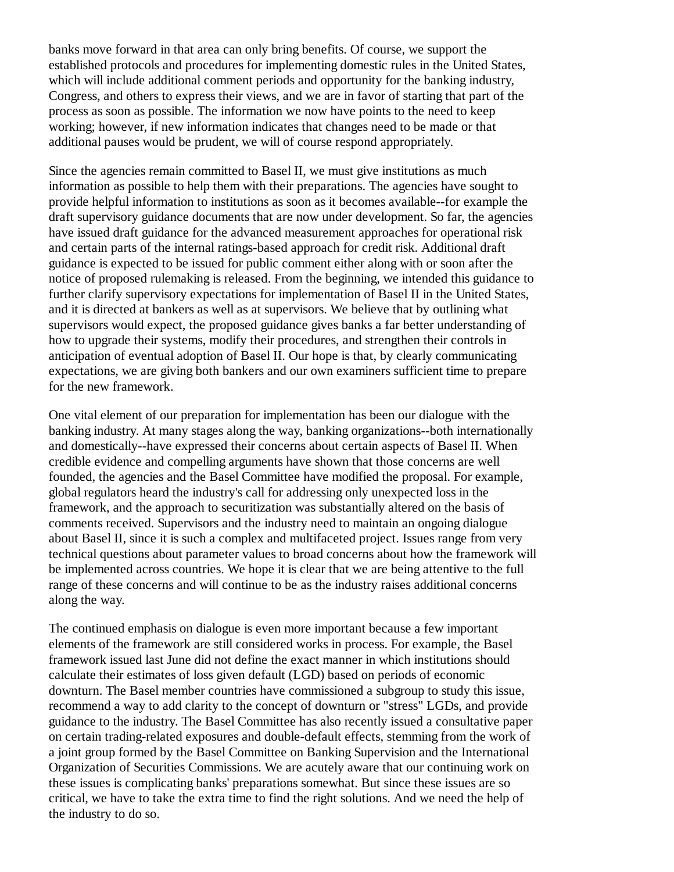banks move forward in that area can only bring benefits. Of course, we support the established protocols and procedures for implementing domestic rules in the United States, which will include additional comment periods and opportunity for the banking industry, Congress, and others to express their views, and we are in favor of starting that part of the process as soon as possible. The information we now have points to the need to keep working; however, if new information indicates that changes need to be made or that additional pauses would be prudent, we will of course respond appropriately.

Since the agencies remain committed to Basel II, we must give institutions as much information as possible to help them with their preparations. The agencies have sought to provide helpful information to institutions as soon as it becomes available--for example the draft supervisory guidance documents that are now under development. So far, the agencies have issued draft guidance for the advanced measurement approaches for operational risk and certain parts of the internal ratings-based approach for credit risk. Additional draft guidance is expected to be issued for public comment either along with or soon after the notice of proposed rulemaking is released. From the beginning, we intended this guidance to further clarify supervisory expectations for implementation of Basel II in the United States, and it is directed at bankers as well as at supervisors. We believe that by outlining what supervisors would expect, the proposed guidance gives banks a far better understanding of how to upgrade their systems, modify their procedures, and strengthen their controls in anticipation of eventual adoption of Basel II. Our hope is that, by clearly communicating expectations, we are giving both bankers and our own examiners sufficient time to prepare for the new framework.

One vital element of our preparation for implementation has been our dialogue with the banking industry. At many stages along the way, banking organizations--both internationally and domestically--have expressed their concerns about certain aspects of Basel II. When credible evidence and compelling arguments have shown that those concerns are well founded, the agencies and the Basel Committee have modified the proposal. For example, global regulators heard the industry's call for addressing only unexpected loss in the framework, and the approach to securitization was substantially altered on the basis of comments received. Supervisors and the industry need to maintain an ongoing dialogue about Basel II, since it is such a complex and multifaceted project. Issues range from very technical questions about parameter values to broad concerns about how the framework will be implemented across countries. We hope it is clear that we are being attentive to the full range of these concerns and will continue to be as the industry raises additional concerns along the way.

The continued emphasis on dialogue is even more important because a few important elements of the framework are still considered works in process. For example, the Basel framework issued last June did not define the exact manner in which institutions should calculate their estimates of loss given default (LGD) based on periods of economic downturn. The Basel member countries have commissioned a subgroup to study this issue, recommend a way to add clarity to the concept of downturn or "stress" LGDs, and provide guidance to the industry. The Basel Committee has also recently issued a consultative paper on certain trading-related exposures and double-default effects, stemming from the work of a joint group formed by the Basel Committee on Banking Supervision and the International Organization of Securities Commissions. We are acutely aware that our continuing work on these issues is complicating banks' preparations somewhat. But since these issues are so critical, we have to take the extra time to find the right solutions. And we need the help of the industry to do so.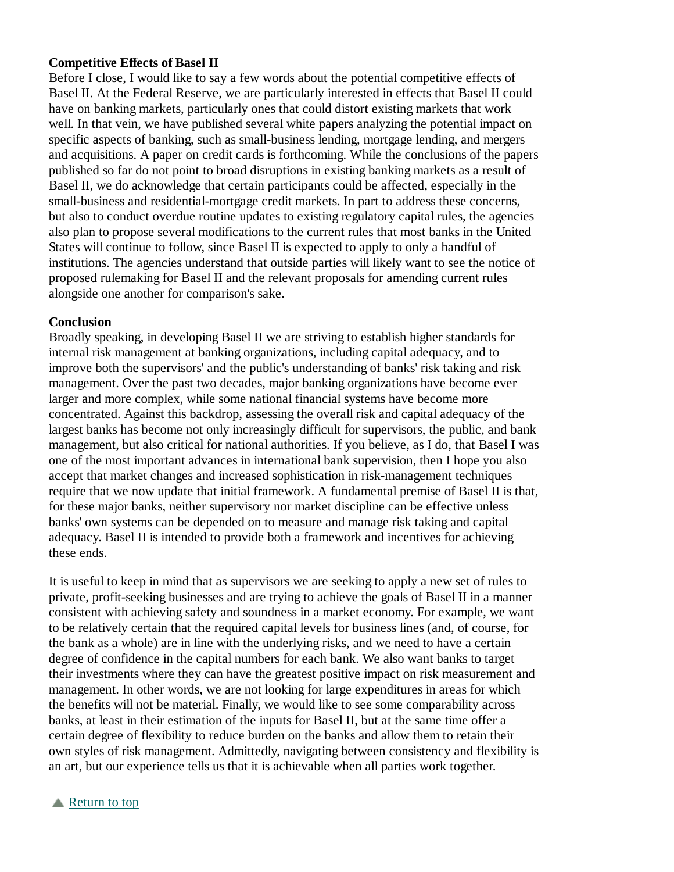## **Competitive Effects of Basel II**

Before I close, I would like to say a few words about the potential competitive effects of Basel II. At the Federal Reserve, we are particularly interested in effects that Basel II could have on banking markets, particularly ones that could distort existing markets that work well. In that vein, we have published several white papers analyzing the potential impact on specific aspects of banking, such as small-business lending, mortgage lending, and mergers and acquisitions. A paper on credit cards is forthcoming. While the conclusions of the papers published so far do not point to broad disruptions in existing banking markets as a result of Basel II, we do acknowledge that certain participants could be affected, especially in the small-business and residential-mortgage credit markets. In part to address these concerns, but also to conduct overdue routine updates to existing regulatory capital rules, the agencies also plan to propose several modifications to the current rules that most banks in the United States will continue to follow, since Basel II is expected to apply to only a handful of institutions. The agencies understand that outside parties will likely want to see the notice of proposed rulemaking for Basel II and the relevant proposals for amending current rules alongside one another for comparison's sake.

#### **Conclusion**

Broadly speaking, in developing Basel II we are striving to establish higher standards for internal risk management at banking organizations, including capital adequacy, and to improve both the supervisors' and the public's understanding of banks' risk taking and risk management. Over the past two decades, major banking organizations have become ever larger and more complex, while some national financial systems have become more concentrated. Against this backdrop, assessing the overall risk and capital adequacy of the largest banks has become not only increasingly difficult for supervisors, the public, and bank management, but also critical for national authorities. If you believe, as I do, that Basel I was one of the most important advances in international bank supervision, then I hope you also accept that market changes and increased sophistication in risk-management techniques require that we now update that initial framework. A fundamental premise of Basel II is that, for these major banks, neither supervisory nor market discipline can be effective unless banks' own systems can be depended on to measure and manage risk taking and capital adequacy. Basel II is intended to provide both a framework and incentives for achieving these ends.

It is useful to keep in mind that as supervisors we are seeking to apply a new set of rules to private, profit-seeking businesses and are trying to achieve the goals of Basel II in a manner consistent with achieving safety and soundness in a market economy. For example, we want to be relatively certain that the required capital levels for business lines (and, of course, for the bank as a whole) are in line with the underlying risks, and we need to have a certain degree of confidence in the capital numbers for each bank. We also want banks to target their investments where they can have the greatest positive impact on risk measurement and management. In other words, we are not looking for large expenditures in areas for which the benefits will not be material. Finally, we would like to see some comparability across banks, at least in their estimation of the inputs for Basel II, but at the same time offer a certain degree of flexibility to reduce burden on the banks and allow them to retain their own styles of risk management. Admittedly, navigating between consistency and flexibility is an art, but our experience tells us that it is achievable when all parties work together.

### **Return to top**